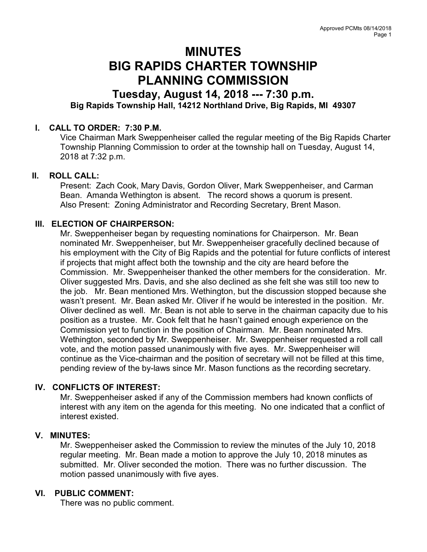# MINUTES BIG RAPIDS CHARTER TOWNSHIP PLANNING COMMISSION

## Tuesday, August 14, 2018 --- 7:30 p.m. Big Rapids Township Hall, 14212 Northland Drive, Big Rapids, MI 49307

## I. CALL TO ORDER: 7:30 P.M.

Vice Chairman Mark Sweppenheiser called the regular meeting of the Big Rapids Charter Township Planning Commission to order at the township hall on Tuesday, August 14, 2018 at 7:32 p.m.

## II. ROLL CALL:

Present: Zach Cook, Mary Davis, Gordon Oliver, Mark Sweppenheiser, and Carman Bean. Amanda Wethington is absent. The record shows a quorum is present. Also Present: Zoning Administrator and Recording Secretary, Brent Mason.

## III. ELECTION OF CHAIRPERSON:

Mr. Sweppenheiser began by requesting nominations for Chairperson. Mr. Bean nominated Mr. Sweppenheiser, but Mr. Sweppenheiser gracefully declined because of his employment with the City of Big Rapids and the potential for future conflicts of interest if projects that might affect both the township and the city are heard before the Commission. Mr. Sweppenheiser thanked the other members for the consideration. Mr. Oliver suggested Mrs. Davis, and she also declined as she felt she was still too new to the job. Mr. Bean mentioned Mrs. Wethington, but the discussion stopped because she wasn't present. Mr. Bean asked Mr. Oliver if he would be interested in the position. Mr. Oliver declined as well. Mr. Bean is not able to serve in the chairman capacity due to his position as a trustee. Mr. Cook felt that he hasn't gained enough experience on the Commission yet to function in the position of Chairman. Mr. Bean nominated Mrs. Wethington, seconded by Mr. Sweppenheiser. Mr. Sweppenheiser requested a roll call vote, and the motion passed unanimously with five ayes. Mr. Sweppenheiser will continue as the Vice-chairman and the position of secretary will not be filled at this time, pending review of the by-laws since Mr. Mason functions as the recording secretary.

## IV. CONFLICTS OF INTEREST:

Mr. Sweppenheiser asked if any of the Commission members had known conflicts of interest with any item on the agenda for this meeting. No one indicated that a conflict of interest existed.

#### V. MINUTES:

Mr. Sweppenheiser asked the Commission to review the minutes of the July 10, 2018 regular meeting. Mr. Bean made a motion to approve the July 10, 2018 minutes as submitted. Mr. Oliver seconded the motion. There was no further discussion. The motion passed unanimously with five ayes.

#### VI. PUBLIC COMMENT:

There was no public comment.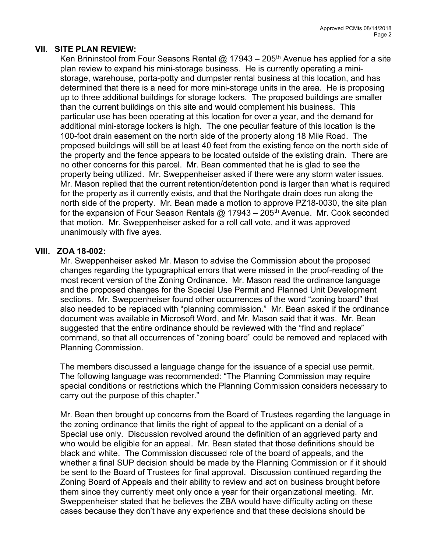## VII. SITE PLAN REVIEW:

Ken Brininstool from Four Seasons Rental @ 17943 – 205<sup>th</sup> Avenue has applied for a site plan review to expand his mini-storage business. He is currently operating a ministorage, warehouse, porta-potty and dumpster rental business at this location, and has determined that there is a need for more mini-storage units in the area. He is proposing up to three additional buildings for storage lockers. The proposed buildings are smaller than the current buildings on this site and would complement his business. This particular use has been operating at this location for over a year, and the demand for additional mini-storage lockers is high. The one peculiar feature of this location is the 100-foot drain easement on the north side of the property along 18 Mile Road. The proposed buildings will still be at least 40 feet from the existing fence on the north side of the property and the fence appears to be located outside of the existing drain. There are no other concerns for this parcel. Mr. Bean commented that he is glad to see the property being utilized. Mr. Sweppenheiser asked if there were any storm water issues. Mr. Mason replied that the current retention/detention pond is larger than what is required for the property as it currently exists, and that the Northgate drain does run along the north side of the property. Mr. Bean made a motion to approve PZ18-0030, the site plan for the expansion of Four Season Rentals  $\omega$  17943 – 205<sup>th</sup> Avenue. Mr. Cook seconded that motion. Mr. Sweppenheiser asked for a roll call vote, and it was approved unanimously with five ayes.

#### VIII. ZOA 18-002:

Mr. Sweppenheiser asked Mr. Mason to advise the Commission about the proposed changes regarding the typographical errors that were missed in the proof-reading of the most recent version of the Zoning Ordinance. Mr. Mason read the ordinance language and the proposed changes for the Special Use Permit and Planned Unit Development sections. Mr. Sweppenheiser found other occurrences of the word "zoning board" that also needed to be replaced with "planning commission." Mr. Bean asked if the ordinance document was available in Microsoft Word, and Mr. Mason said that it was. Mr. Bean suggested that the entire ordinance should be reviewed with the "find and replace" command, so that all occurrences of "zoning board" could be removed and replaced with Planning Commission.

The members discussed a language change for the issuance of a special use permit. The following language was recommended: "The Planning Commission may require special conditions or restrictions which the Planning Commission considers necessary to carry out the purpose of this chapter."

Mr. Bean then brought up concerns from the Board of Trustees regarding the language in the zoning ordinance that limits the right of appeal to the applicant on a denial of a Special use only. Discussion revolved around the definition of an aggrieved party and who would be eligible for an appeal. Mr. Bean stated that those definitions should be black and white. The Commission discussed role of the board of appeals, and the whether a final SUP decision should be made by the Planning Commission or if it should be sent to the Board of Trustees for final approval. Discussion continued regarding the Zoning Board of Appeals and their ability to review and act on business brought before them since they currently meet only once a year for their organizational meeting. Mr. Sweppenheiser stated that he believes the ZBA would have difficulty acting on these cases because they don't have any experience and that these decisions should be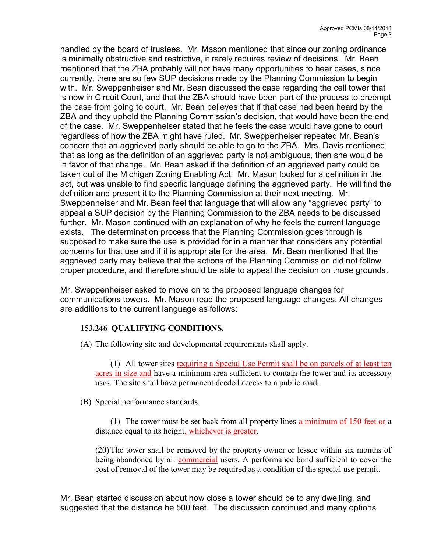handled by the board of trustees. Mr. Mason mentioned that since our zoning ordinance is minimally obstructive and restrictive, it rarely requires review of decisions. Mr. Bean mentioned that the ZBA probably will not have many opportunities to hear cases, since currently, there are so few SUP decisions made by the Planning Commission to begin with. Mr. Sweppenheiser and Mr. Bean discussed the case regarding the cell tower that is now in Circuit Court, and that the ZBA should have been part of the process to preempt the case from going to court. Mr. Bean believes that if that case had been heard by the ZBA and they upheld the Planning Commission's decision, that would have been the end of the case. Mr. Sweppenheiser stated that he feels the case would have gone to court regardless of how the ZBA might have ruled. Mr. Sweppenheiser repeated Mr. Bean's concern that an aggrieved party should be able to go to the ZBA. Mrs. Davis mentioned that as long as the definition of an aggrieved party is not ambiguous, then she would be in favor of that change. Mr. Bean asked if the definition of an aggrieved party could be taken out of the Michigan Zoning Enabling Act. Mr. Mason looked for a definition in the act, but was unable to find specific language defining the aggrieved party. He will find the definition and present it to the Planning Commission at their next meeting. Mr. Sweppenheiser and Mr. Bean feel that language that will allow any "aggrieved party" to appeal a SUP decision by the Planning Commission to the ZBA needs to be discussed further. Mr. Mason continued with an explanation of why he feels the current language exists. The determination process that the Planning Commission goes through is supposed to make sure the use is provided for in a manner that considers any potential concerns for that use and if it is appropriate for the area. Mr. Bean mentioned that the aggrieved party may believe that the actions of the Planning Commission did not follow proper procedure, and therefore should be able to appeal the decision on those grounds.

Mr. Sweppenheiser asked to move on to the proposed language changes for communications towers. Mr. Mason read the proposed language changes. All changes are additions to the current language as follows:

## 153.246 QUALIFYING CONDITIONS.

(A) The following site and developmental requirements shall apply.

 (1) All tower sites requiring a Special Use Permit shall be on parcels of at least ten acres in size and have a minimum area sufficient to contain the tower and its accessory uses. The site shall have permanent deeded access to a public road.

(B) Special performance standards.

(1) The tower must be set back from all property lines a minimum of  $150$  feet or a distance equal to its height, whichever is greater.

 (20) The tower shall be removed by the property owner or lessee within six months of being abandoned by all commercial users. A performance bond sufficient to cover the cost of removal of the tower may be required as a condition of the special use permit.

Mr. Bean started discussion about how close a tower should be to any dwelling, and suggested that the distance be 500 feet. The discussion continued and many options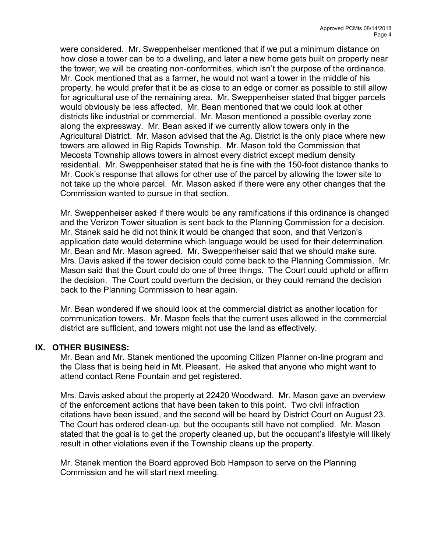were considered. Mr. Sweppenheiser mentioned that if we put a minimum distance on how close a tower can be to a dwelling, and later a new home gets built on property near the tower, we will be creating non-conformities, which isn't the purpose of the ordinance. Mr. Cook mentioned that as a farmer, he would not want a tower in the middle of his property, he would prefer that it be as close to an edge or corner as possible to still allow for agricultural use of the remaining area. Mr. Sweppenheiser stated that bigger parcels would obviously be less affected. Mr. Bean mentioned that we could look at other districts like industrial or commercial. Mr. Mason mentioned a possible overlay zone along the expressway. Mr. Bean asked if we currently allow towers only in the Agricultural District. Mr. Mason advised that the Ag. District is the only place where new towers are allowed in Big Rapids Township. Mr. Mason told the Commission that Mecosta Township allows towers in almost every district except medium density residential. Mr. Sweppenheiser stated that he is fine with the 150-foot distance thanks to Mr. Cook's response that allows for other use of the parcel by allowing the tower site to not take up the whole parcel. Mr. Mason asked if there were any other changes that the Commission wanted to pursue in that section.

Mr. Sweppenheiser asked if there would be any ramifications if this ordinance is changed and the Verizon Tower situation is sent back to the Planning Commission for a decision. Mr. Stanek said he did not think it would be changed that soon, and that Verizon's application date would determine which language would be used for their determination. Mr. Bean and Mr. Mason agreed. Mr. Sweppenheiser said that we should make sure. Mrs. Davis asked if the tower decision could come back to the Planning Commission. Mr. Mason said that the Court could do one of three things. The Court could uphold or affirm the decision. The Court could overturn the decision, or they could remand the decision back to the Planning Commission to hear again.

Mr. Bean wondered if we should look at the commercial district as another location for communication towers. Mr. Mason feels that the current uses allowed in the commercial district are sufficient, and towers might not use the land as effectively.

## IX. OTHER BUSINESS:

Mr. Bean and Mr. Stanek mentioned the upcoming Citizen Planner on-line program and the Class that is being held in Mt. Pleasant. He asked that anyone who might want to attend contact Rene Fountain and get registered.

Mrs. Davis asked about the property at 22420 Woodward. Mr. Mason gave an overview of the enforcement actions that have been taken to this point. Two civil infraction citations have been issued, and the second will be heard by District Court on August 23. The Court has ordered clean-up, but the occupants still have not complied. Mr. Mason stated that the goal is to get the property cleaned up, but the occupant's lifestyle will likely result in other violations even if the Township cleans up the property.

Mr. Stanek mention the Board approved Bob Hampson to serve on the Planning Commission and he will start next meeting.